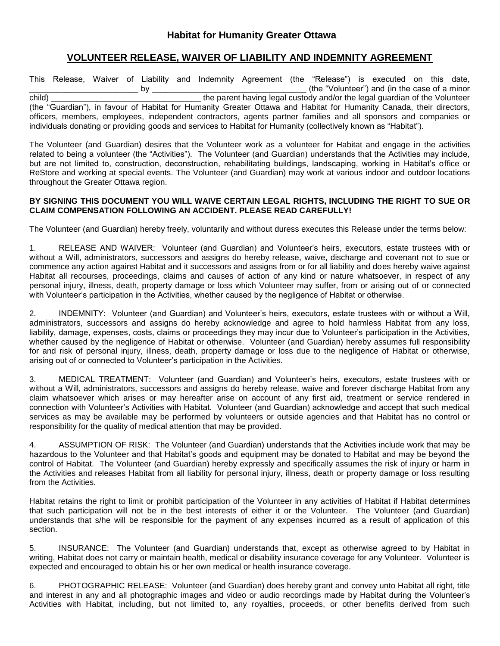## **VOLUNTEER RELEASE, WAIVER OF LIABILITY AND INDEMNITY AGREEMENT**

This Release, Waiver of Liability and Indemnity Agreement (the "Release") is executed on this date, by the "Volunteer") and (in the case of a minor child) \_\_\_\_\_\_\_\_\_\_\_\_\_\_\_\_\_\_\_\_\_\_\_\_\_\_\_\_\_\_\_\_\_ the parent having legal custody and/or the legal guardian of the Volunteer (the "Guardian"), in favour of Habitat for Humanity Greater Ottawa and Habitat for Humanity Canada, their directors, officers, members, employees, independent contractors, agents partner families and all sponsors and companies or individuals donating or providing goods and services to Habitat for Humanity (collectively known as "Habitat").

The Volunteer (and Guardian) desires that the Volunteer work as a volunteer for Habitat and engage in the activities related to being a volunteer (the "Activities"). The Volunteer (and Guardian) understands that the Activities may include, but are not limited to, construction, deconstruction, rehabilitating buildings, landscaping, working in Habitat's office or ReStore and working at special events. The Volunteer (and Guardian) may work at various indoor and outdoor locations throughout the Greater Ottawa region.

## **BY SIGNING THIS DOCUMENT YOU WILL WAIVE CERTAIN LEGAL RIGHTS, INCLUDING THE RIGHT TO SUE OR CLAIM COMPENSATION FOLLOWING AN ACCIDENT. PLEASE READ CAREFULLY!**

The Volunteer (and Guardian) hereby freely, voluntarily and without duress executes this Release under the terms below:

1. RELEASE AND WAIVER: Volunteer (and Guardian) and Volunteer's heirs, executors, estate trustees with or without a Will, administrators, successors and assigns do hereby release, waive, discharge and covenant not to sue or commence any action against Habitat and it successors and assigns from or for all liability and does hereby waive against Habitat all recourses, proceedings, claims and causes of action of any kind or nature whatsoever, in respect of any personal injury, illness, death, property damage or loss which Volunteer may suffer, from or arising out of or connected with Volunteer's participation in the Activities, whether caused by the negligence of Habitat or otherwise.

2. INDEMNITY: Volunteer (and Guardian) and Volunteer's heirs, executors, estate trustees with or without a Will, administrators, successors and assigns do hereby acknowledge and agree to hold harmless Habitat from any loss, liability, damage, expenses, costs, claims or proceedings they may incur due to Volunteer's participation in the Activities, whether caused by the negligence of Habitat or otherwise. Volunteer (and Guardian) hereby assumes full responsibility for and risk of personal injury, illness, death, property damage or loss due to the negligence of Habitat or otherwise, arising out of or connected to Volunteer's participation in the Activities.

3. MEDICAL TREATMENT: Volunteer (and Guardian) and Volunteer's heirs, executors, estate trustees with or without a Will, administrators, successors and assigns do hereby release, waive and forever discharge Habitat from any claim whatsoever which arises or may hereafter arise on account of any first aid, treatment or service rendered in connection with Volunteer's Activities with Habitat. Volunteer (and Guardian) acknowledge and accept that such medical services as may be available may be performed by volunteers or outside agencies and that Habitat has no control or responsibility for the quality of medical attention that may be provided.

4. ASSUMPTION OF RISK: The Volunteer (and Guardian) understands that the Activities include work that may be hazardous to the Volunteer and that Habitat's goods and equipment may be donated to Habitat and may be beyond the control of Habitat. The Volunteer (and Guardian) hereby expressly and specifically assumes the risk of injury or harm in the Activities and releases Habitat from all liability for personal injury, illness, death or property damage or loss resulting from the Activities.

Habitat retains the right to limit or prohibit participation of the Volunteer in any activities of Habitat if Habitat determines that such participation will not be in the best interests of either it or the Volunteer. The Volunteer (and Guardian) understands that s/he will be responsible for the payment of any expenses incurred as a result of application of this section.

5. INSURANCE: The Volunteer (and Guardian) understands that, except as otherwise agreed to by Habitat in writing, Habitat does not carry or maintain health, medical or disability insurance coverage for any Volunteer. Volunteer is expected and encouraged to obtain his or her own medical or health insurance coverage.

6. PHOTOGRAPHIC RELEASE: Volunteer (and Guardian) does hereby grant and convey unto Habitat all right, title and interest in any and all photographic images and video or audio recordings made by Habitat during the Volunteer's Activities with Habitat, including, but not limited to, any royalties, proceeds, or other benefits derived from such